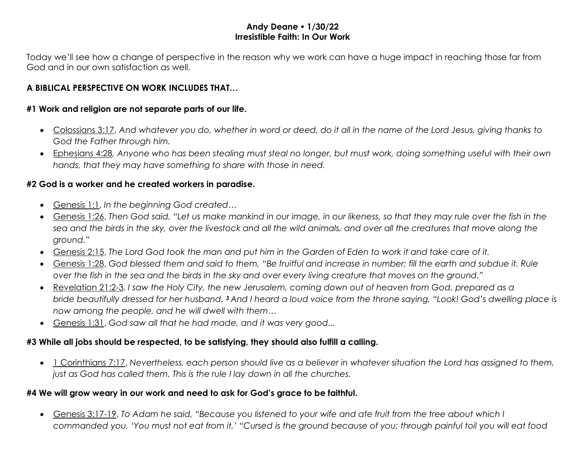#### **Andy Deane 1/30/22 Irresistible Faith: In Our Work**

Today we'll see how a change of perspective in the reason why we work can have a huge impact in reaching those far from God and in our own satisfaction as well.

### **A BIBLICAL PERSPECTIVE ON WORK INCLUDES THAT…**

#### **#1 Work and religion are not separate parts of our life.**

- Colossians 3:17, *And whatever you do, whether in word or deed, do it all in the name of the Lord Jesus, giving thanks to God the Father through him.*
- Ephesians 4:28*, Anyone who has been stealing must steal no longer, but must work, doing something useful with their own hands, that they may have something to share with those in need.*

#### **#2 God is a worker and he created workers in paradise.**

- Genesis 1:1, *In the beginning God created…*
- Genesis 1:26, *Then God said, "Let us make mankind in our image, in our likeness, so that they may rule over the fish in the sea and the birds in the sky, over the livestock and all the wild animals, and over all the creatures that move along the ground."*
- Genesis 2:15, *The Lord God took the man and put him in the Garden of Eden to work it and take care of it.*
- Genesis 1:28, *God blessed them and said to them, "Be fruitful and increase in number; fill the earth and subdue it. Rule over the fish in the sea and the birds in the sky and over every living creature that moves on the ground."*
- Revelation 21:2-3, *I saw the Holy City, the new Jerusalem, coming down out of heaven from God, prepared as a bride beautifully dressed for her husband. <sup>3</sup> And I heard a loud voice from the throne saying, "Look! God's dwelling place is now among the people, and he will dwell with them…*
- Genesis 1:31, *God saw all that he had made, and it was very good...*

# **#3 While all jobs should be respected, to be satisfying, they should also fulfill a calling.**

• 1 Corinthians 7:17, *Nevertheless, each person should live as a believer in whatever situation the Lord has assigned to them, just as God has called them. This is the rule I lay down in all the churches.*

## **#4 We will grow weary in our work and need to ask for God's grace to be faithful.**

• Genesis 3:17-19, *To Adam he said, "Because you listened to your wife and ate fruit from the tree about which I commanded you, 'You must not eat from it,' "Cursed is the ground because of you; through painful toil you will eat food*